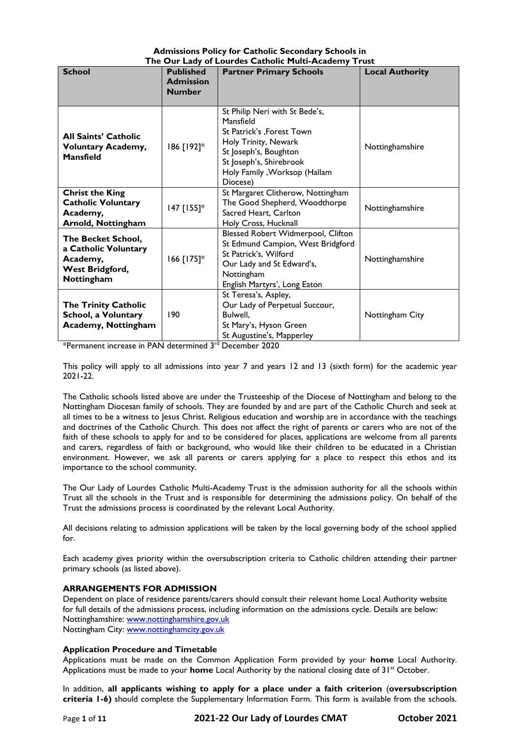|  | <b>Admissions Policy for Catholic Secondary Schools in</b> |  |
|--|------------------------------------------------------------|--|
|  | The Our Lady of Lourdes Catholic Multi-Academy Trust       |  |

| $\overline{\phantom{a}}$ $\overline{\phantom{a}}$ $\overline{\phantom{a}}$ $\overline{\phantom{a}}$ $\overline{\phantom{a}}$ $\overline{\phantom{a}}$ $\overline{\phantom{a}}$ $\overline{\phantom{a}}$ $\overline{\phantom{a}}$ $\overline{\phantom{a}}$ $\overline{\phantom{a}}$ $\overline{\phantom{a}}$ $\overline{\phantom{a}}$ $\overline{\phantom{a}}$ $\overline{\phantom{a}}$ $\overline{\phantom{a}}$ $\overline{\phantom{a}}$ $\overline{\phantom{a}}$ $\overline{\$<br><b>School</b><br><b>Published</b><br><b>Partner Primary Schools</b><br><b>Local Authority</b> |                                   |                                                                                                                                                                                                    |                 |  |
|----------------------------------------------------------------------------------------------------------------------------------------------------------------------------------------------------------------------------------------------------------------------------------------------------------------------------------------------------------------------------------------------------------------------------------------------------------------------------------------------------------------------------------------------------------------------------------|-----------------------------------|----------------------------------------------------------------------------------------------------------------------------------------------------------------------------------------------------|-----------------|--|
|                                                                                                                                                                                                                                                                                                                                                                                                                                                                                                                                                                                  | <b>Admission</b><br><b>Number</b> |                                                                                                                                                                                                    |                 |  |
| <b>All Saints' Catholic</b><br><b>Voluntary Academy,</b><br><b>Mansfield</b>                                                                                                                                                                                                                                                                                                                                                                                                                                                                                                     | 186 [192]*                        | St Philip Neri with St Bede's,<br>Mansfield<br>St Patrick's , Forest Town<br>Holy Trinity, Newark<br>St Joseph's, Boughton<br>St Joseph's, Shirebrook<br>Holy Family , Worksop (Hallam<br>Diocese) | Nottinghamshire |  |
| <b>Christ the King</b><br><b>Catholic Voluntary</b><br>Academy,<br>Arnold, Nottingham                                                                                                                                                                                                                                                                                                                                                                                                                                                                                            | 147 [155]*                        | St Margaret Clitherow, Nottingham<br>The Good Shepherd, Woodthorpe<br>Sacred Heart, Carlton<br>Holy Cross, Hucknall                                                                                | Nottinghamshire |  |
| The Becket School,<br>a Catholic Voluntary<br>Academy,<br>West Bridgford,<br>Nottingham                                                                                                                                                                                                                                                                                                                                                                                                                                                                                          | 166 [175]*                        | Blessed Robert Widmerpool, Clifton<br>St Edmund Campion, West Bridgford<br>St Patrick's, Wilford<br>Our Lady and St Edward's,<br>Nottingham<br>English Martyrs', Long Eaton                        | Nottinghamshire |  |
| <b>The Trinity Catholic</b><br>School, a Voluntary<br><b>Academy, Nottingham</b>                                                                                                                                                                                                                                                                                                                                                                                                                                                                                                 | 190                               | St Teresa's, Aspley,<br>Our Lady of Perpetual Succour,<br>Bulwell,<br>St Mary's, Hyson Green<br>St Augustine's, Mapperley                                                                          | Nottingham City |  |

\*Permanent increase in PAN determined 3rd December 2020

This policy will apply to all admissions into year 7 and years 12 and 13 (sixth form) for the academic year 2021-22.

The Catholic schools listed above are under the Trusteeship of the Diocese of Nottingham and belong to the Nottingham Diocesan family of schools. They are founded by and are part of the Catholic Church and seek at all times to be a witness to Jesus Christ. Religious education and worship are in accordance with the teachings and doctrines of the Catholic Church. This does not affect the right of parents or carers who are not of the faith of these schools to apply for and to be considered for places, applications are welcome from all parents and carers, regardless of faith or background, who would like their children to be educated in a Christian environment. However, we ask all parents or carers applying for a place to respect this ethos and its importance to the school community.

The Our Lady of Lourdes Catholic Multi-Academy Trust is the admission authority for all the schools within Trust all the schools in the Trust and is responsible for determining the admissions policy. On behalf of the Trust the admissions process is coordinated by the relevant Local Authority.

All decisions relating to admission applications will be taken by the local governing body of the school applied for.

Each academy gives priority within the oversubscription criteria to Catholic children attending their partner primary schools (as listed above).

## **ARRANGEMENTS FOR ADMISSION**

Dependent on place of residence parents/carers should consult their relevant home Local Authority website for full details of the admissions process, including information on the admissions cycle. Details are below: Nottinghamshire: [www.nottinghamshire.gov.uk](http://www.nottinghamshire.gov.uk/) Nottingham City: [www.nottinghamcity.gov.uk](http://www.nottinghamcity.gov.uk/)

## **Application Procedure and Timetable**

Applications must be made on the Common Application Form provided by your **home** Local Authority. Applications must be made to your **home** Local Authority by the national closing date of 31<sup>st</sup> October.

In addition, **all applicants wishing to apply for a place under a faith criterion** (**oversubscription criteria 1-6)** should complete the Supplementary Information Form. This form is available from the schools.

Page **1** of **11 2021-22 Our Lady of Lourdes CMAT October 2021**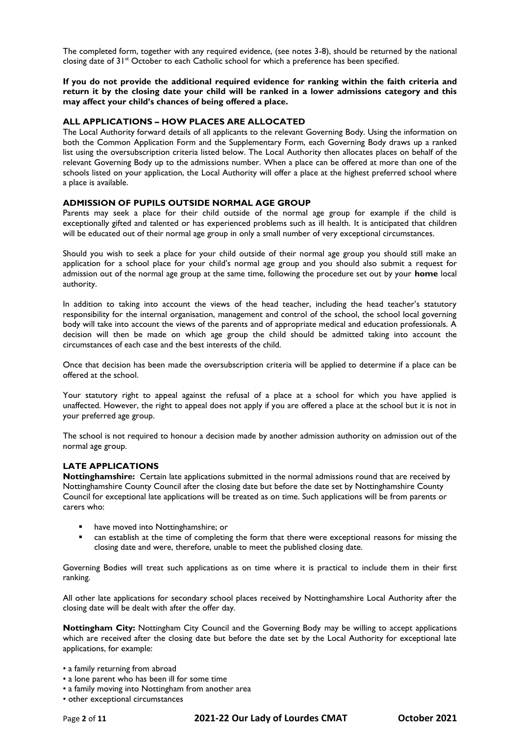The completed form, together with any required evidence, (see notes 3-8), should be returned by the national closing date of 31<sup>st</sup> October to each Catholic school for which a preference has been specified.

**If you do not provide the additional required evidence for ranking within the faith criteria and return it by the closing date your child will be ranked in a lower admissions category and this may affect your child's chances of being offered a place.**

#### **ALL APPLICATIONS – HOW PLACES ARE ALLOCATED**

The Local Authority forward details of all applicants to the relevant Governing Body. Using the information on both the Common Application Form and the Supplementary Form, each Governing Body draws up a ranked list using the oversubscription criteria listed below. The Local Authority then allocates places on behalf of the relevant Governing Body up to the admissions number. When a place can be offered at more than one of the schools listed on your application, the Local Authority will offer a place at the highest preferred school where a place is available.

#### **ADMISSION OF PUPILS OUTSIDE NORMAL AGE GROUP**

Parents may seek a place for their child outside of the normal age group for example if the child is exceptionally gifted and talented or has experienced problems such as ill health. It is anticipated that children will be educated out of their normal age group in only a small number of very exceptional circumstances.

Should you wish to seek a place for your child outside of their normal age group you should still make an application for a school place for your child's normal age group and you should also submit a request for admission out of the normal age group at the same time, following the procedure set out by your **home** local authority.

In addition to taking into account the views of the head teacher, including the head teacher's statutory responsibility for the internal organisation, management and control of the school, the school local governing body will take into account the views of the parents and of appropriate medical and education professionals. A decision will then be made on which age group the child should be admitted taking into account the circumstances of each case and the best interests of the child.

Once that decision has been made the oversubscription criteria will be applied to determine if a place can be offered at the school.

Your statutory right to appeal against the refusal of a place at a school for which you have applied is unaffected. However, the right to appeal does not apply if you are offered a place at the school but it is not in your preferred age group.

The school is not required to honour a decision made by another admission authority on admission out of the normal age group.

## **LATE APPLICATIONS**

**Nottinghamshire:** Certain late applications submitted in the normal admissions round that are received by Nottinghamshire County Council after the closing date but before the date set by Nottinghamshire County Council for exceptional late applications will be treated as on time. Such applications will be from parents or carers who:

- have moved into Nottinghamshire; or
- can establish at the time of completing the form that there were exceptional reasons for missing the closing date and were, therefore, unable to meet the published closing date.

Governing Bodies will treat such applications as on time where it is practical to include them in their first ranking.

All other late applications for secondary school places received by Nottinghamshire Local Authority after the closing date will be dealt with after the offer day.

**Nottingham City:** Nottingham City Council and the Governing Body may be willing to accept applications which are received after the closing date but before the date set by the Local Authority for exceptional late applications, for example:

- a family returning from abroad
- a lone parent who has been ill for some time
- a family moving into Nottingham from another area
- other exceptional circumstances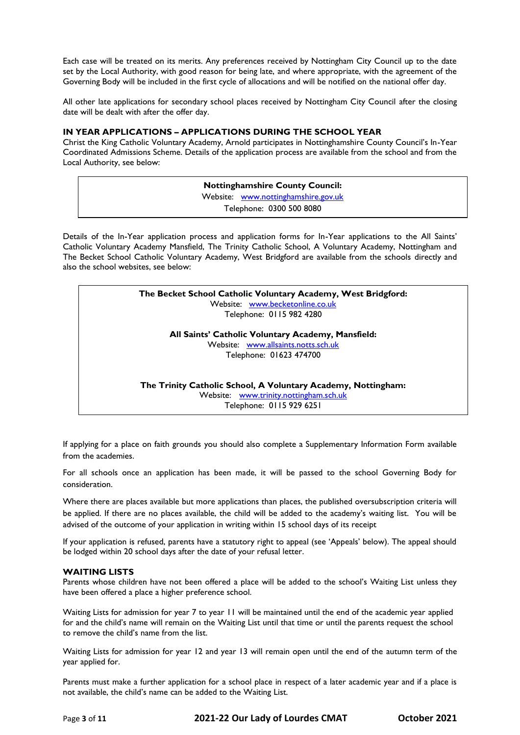Each case will be treated on its merits. Any preferences received by Nottingham City Council up to the date set by the Local Authority, with good reason for being late, and where appropriate, with the agreement of the Governing Body will be included in the first cycle of allocations and will be notified on the national offer day.

All other late applications for secondary school places received by Nottingham City Council after the closing date will be dealt with after the offer day.

## **IN YEAR APPLICATIONS – APPLICATIONS DURING THE SCHOOL YEAR**

Christ the King Catholic Voluntary Academy, Arnold participates in Nottinghamshire County Council's In-Year Coordinated Admissions Scheme. Details of the application process are available from the school and from the Local Authority, see below:

> **Nottinghamshire County Council:** Website: [www.nottinghamshire.gov.uk](http://www.nottinghamshire.gov.uk/) Telephone: 0300 500 8080

Details of the In-Year application process and application forms for In-Year applications to the All Saints' Catholic Voluntary Academy Mansfield, The Trinity Catholic School, A Voluntary Academy, Nottingham and The Becket School Catholic Voluntary Academy, West Bridgford are available from the schools directly and also the school websites, see below:

> **The Becket School Catholic Voluntary Academy, West Bridgford:** Website: [www.becketonline.co.uk](http://www.becketonline.co.uk/) Telephone: 0115 982 4280

> > **All Saints' Catholic Voluntary Academy, Mansfield:** Website: [www.allsaints.notts.sch.uk](http://www.allsaints.notts.sch.uk/) Telephone: 01623 474700

**The Trinity Catholic School, A Voluntary Academy, Nottingham:** Website: [www.trinity.nottingham.sch.uk](http://www.trinity.nottingham.sch.uk/)

Telephone: 0115 929 6251

If applying for a place on faith grounds you should also complete a Supplementary Information Form available from the academies.

For all schools once an application has been made, it will be passed to the school Governing Body for consideration.

Where there are places available but more applications than places, the published oversubscription criteria will be applied. If there are no places available, the child will be added to the academy's waiting list. You will be advised of the outcome of your application in writing within 15 school days of its receipt

If your application is refused, parents have a statutory right to appeal (see 'Appeals' below). The appeal should be lodged within 20 school days after the date of your refusal letter.

## **WAITING LISTS**

Parents whose children have not been offered a place will be added to the school's Waiting List unless they have been offered a place a higher preference school.

Waiting Lists for admission for year 7 to year 11 will be maintained until the end of the academic year applied for and the child's name will remain on the Waiting List until that time or until the parents request the school to remove the child's name from the list.

Waiting Lists for admission for year 12 and year 13 will remain open until the end of the autumn term of the year applied for.

Parents must make a further application for a school place in respect of a later academic year and if a place is not available, the child's name can be added to the Waiting List.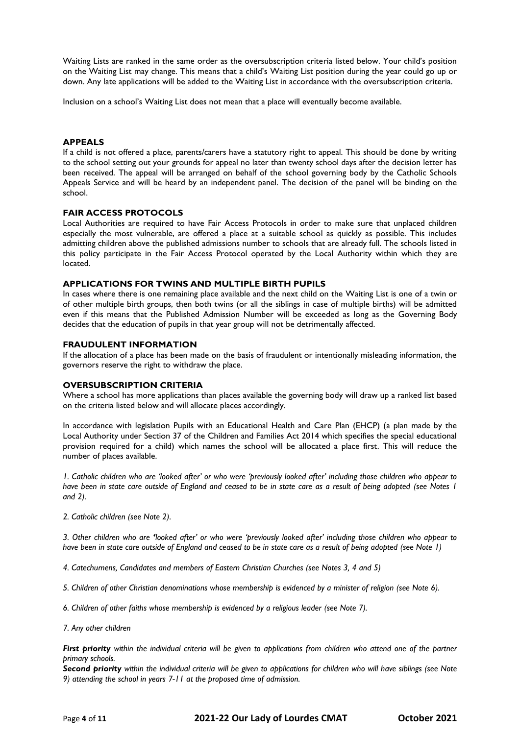Waiting Lists are ranked in the same order as the oversubscription criteria listed below. Your child's position on the Waiting List may change. This means that a child's Waiting List position during the year could go up or down. Any late applications will be added to the Waiting List in accordance with the oversubscription criteria.

Inclusion on a school's Waiting List does not mean that a place will eventually become available.

#### **APPEALS**

If a child is not offered a place, parents/carers have a statutory right to appeal. This should be done by writing to the school setting out your grounds for appeal no later than twenty school days after the decision letter has been received. The appeal will be arranged on behalf of the school governing body by the Catholic Schools Appeals Service and will be heard by an independent panel. The decision of the panel will be binding on the school.

## **FAIR ACCESS PROTOCOLS**

Local Authorities are required to have Fair Access Protocols in order to make sure that unplaced children especially the most vulnerable, are offered a place at a suitable school as quickly as possible. This includes admitting children above the published admissions number to schools that are already full. The schools listed in this policy participate in the Fair Access Protocol operated by the Local Authority within which they are located.

## **APPLICATIONS FOR TWINS AND MULTIPLE BIRTH PUPILS**

In cases where there is one remaining place available and the next child on the Waiting List is one of a twin or of other multiple birth groups, then both twins (or all the siblings in case of multiple births) will be admitted even if this means that the Published Admission Number will be exceeded as long as the Governing Body decides that the education of pupils in that year group will not be detrimentally affected.

#### **FRAUDULENT INFORMATION**

If the allocation of a place has been made on the basis of fraudulent or intentionally misleading information, the governors reserve the right to withdraw the place.

## **OVERSUBSCRIPTION CRITERIA**

Where a school has more applications than places available the governing body will draw up a ranked list based on the criteria listed below and will allocate places accordingly.

In accordance with legislation Pupils with an Educational Health and Care Plan (EHCP) (a plan made by the Local Authority under Section 37 of the Children and Families Act 2014 which specifies the special educational provision required for a child) which names the school will be allocated a place first. This will reduce the number of places available.

*1. Catholic children who are 'looked after' or who were 'previously looked after' including those children who appear to have been in state care outside of England and ceased to be in state care as a result of being adopted (see Notes 1 and 2).*

*2. Catholic children (see Note 2).*

*3. Other children who are 'looked after' or who were 'previously looked after' including those children who appear to have been in state care outside of England and ceased to be in state care as a result of being adopted (see Note 1)*

*4. Catechumens, Candidates and members of Eastern Christian Churches (see Notes 3, 4 and 5)*

*5. Children of other Christian denominations whose membership is evidenced by a minister of religion (see Note 6).*

*6. Children of other faiths whose membership is evidenced by a religious leader (see Note 7).*

*7. Any other children*

*First priority within the individual criteria will be given to applications from children who attend one of the partner primary schools.*

*Second priority within the individual criteria will be given to applications for children who will have siblings (see Note 9) attending the school in years 7-11 at the proposed time of admission.*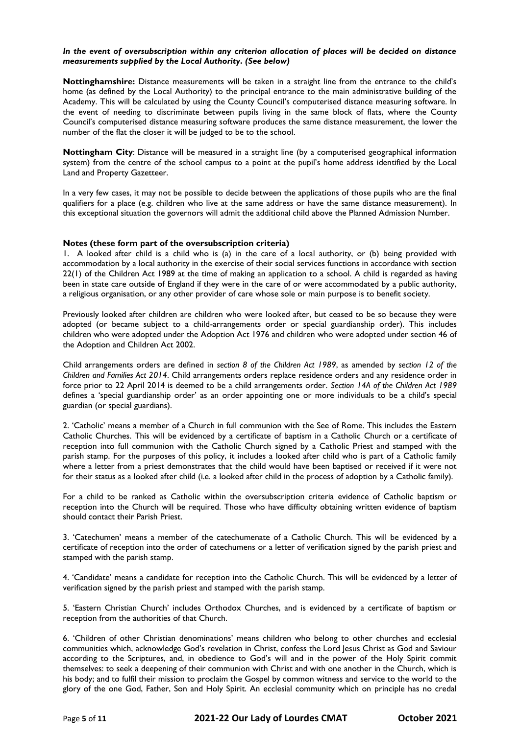## *In the event of oversubscription within any criterion allocation of places will be decided on distance measurements supplied by the Local Authority. (See below)*

**Nottinghamshire:** Distance measurements will be taken in a straight line from the entrance to the child's home (as defined by the Local Authority) to the principal entrance to the main administrative building of the Academy. This will be calculated by using the County Council's computerised distance measuring software. In the event of needing to discriminate between pupils living in the same block of flats, where the County Council's computerised distance measuring software produces the same distance measurement, the lower the number of the flat the closer it will be judged to be to the school.

**Nottingham City**: Distance will be measured in a straight line (by a computerised geographical information system) from the centre of the school campus to a point at the pupil's home address identified by the Local Land and Property Gazetteer.

In a very few cases, it may not be possible to decide between the applications of those pupils who are the final qualifiers for a place (e.g. children who live at the same address or have the same distance measurement). In this exceptional situation the governors will admit the additional child above the Planned Admission Number.

## **Notes (these form part of the oversubscription criteria)**

1. A looked after child is a child who is (a) in the care of a local authority, or (b) being provided with accommodation by a local authority in the exercise of their social services functions in accordance with section 22(1) of the Children Act 1989 at the time of making an application to a school. A child is regarded as having been in state care outside of England if they were in the care of or were accommodated by a public authority, a religious organisation, or any other provider of care whose sole or main purpose is to benefit society.

Previously looked after children are children who were looked after, but ceased to be so because they were adopted (or became subject to a child-arrangements order or special guardianship order). This includes children who were adopted under the Adoption Act 1976 and children who were adopted under section 46 of the Adoption and Children Act 2002.

Child arrangements orders are defined in *section 8 of the Children Act 1989*, as amended by *section 12 of the Children and Families Act 2014*. Child arrangements orders replace residence orders and any residence order in force prior to 22 April 2014 is deemed to be a child arrangements order. *Section 14A of the Children Act 1989* defines a 'special guardianship order' as an order appointing one or more individuals to be a child's special guardian (or special guardians).

2. 'Catholic' means a member of a Church in full communion with the See of Rome. This includes the Eastern Catholic Churches. This will be evidenced by a certificate of baptism in a Catholic Church or a certificate of reception into full communion with the Catholic Church signed by a Catholic Priest and stamped with the parish stamp. For the purposes of this policy, it includes a looked after child who is part of a Catholic family where a letter from a priest demonstrates that the child would have been baptised or received if it were not for their status as a looked after child (i.e. a looked after child in the process of adoption by a Catholic family).

For a child to be ranked as Catholic within the oversubscription criteria evidence of Catholic baptism or reception into the Church will be required. Those who have difficulty obtaining written evidence of baptism should contact their Parish Priest.

3. 'Catechumen' means a member of the catechumenate of a Catholic Church. This will be evidenced by a certificate of reception into the order of catechumens or a letter of verification signed by the parish priest and stamped with the parish stamp.

4. 'Candidate' means a candidate for reception into the Catholic Church. This will be evidenced by a letter of verification signed by the parish priest and stamped with the parish stamp.

5. 'Eastern Christian Church' includes Orthodox Churches, and is evidenced by a certificate of baptism or reception from the authorities of that Church.

6. 'Children of other Christian denominations' means children who belong to other churches and ecclesial communities which, acknowledge God's revelation in Christ, confess the Lord Jesus Christ as God and Saviour according to the Scriptures, and, in obedience to God's will and in the power of the Holy Spirit commit themselves: to seek a deepening of their communion with Christ and with one another in the Church, which is his body; and to fulfil their mission to proclaim the Gospel by common witness and service to the world to the glory of the one God, Father, Son and Holy Spirit. An ecclesial community which on principle has no credal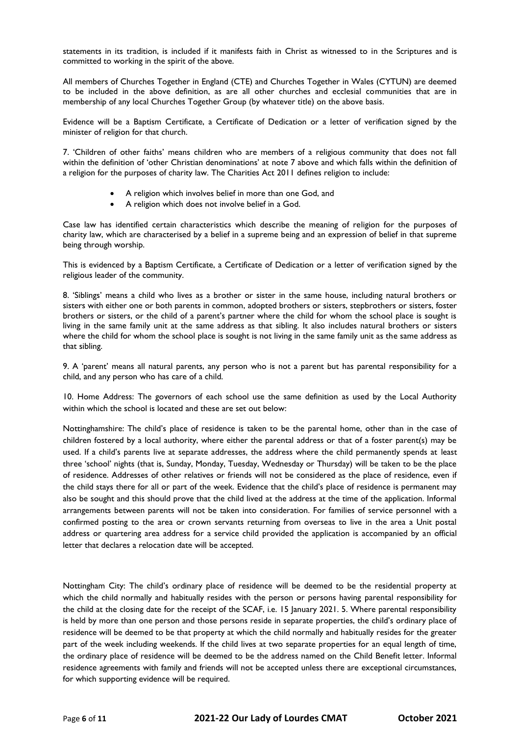statements in its tradition, is included if it manifests faith in Christ as witnessed to in the Scriptures and is committed to working in the spirit of the above.

All members of Churches Together in England (CTE) and Churches Together in Wales (CYTUN) are deemed to be included in the above definition, as are all other churches and ecclesial communities that are in membership of any local Churches Together Group (by whatever title) on the above basis.

Evidence will be a Baptism Certificate, a Certificate of Dedication or a letter of verification signed by the minister of religion for that church.

7. 'Children of other faiths' means children who are members of a religious community that does not fall within the definition of 'other Christian denominations' at note 7 above and which falls within the definition of a religion for the purposes of charity law. The Charities Act 2011 defines religion to include:

- A religion which involves belief in more than one God, and
- A religion which does not involve belief in a God.

Case law has identified certain characteristics which describe the meaning of religion for the purposes of charity law, which are characterised by a belief in a supreme being and an expression of belief in that supreme being through worship.

This is evidenced by a Baptism Certificate, a Certificate of Dedication or a letter of verification signed by the religious leader of the community.

8. 'Siblings' means a child who lives as a brother or sister in the same house, including natural brothers or sisters with either one or both parents in common, adopted brothers or sisters, stepbrothers or sisters, foster brothers or sisters, or the child of a parent's partner where the child for whom the school place is sought is living in the same family unit at the same address as that sibling. It also includes natural brothers or sisters where the child for whom the school place is sought is not living in the same family unit as the same address as that sibling.

9. A 'parent' means all natural parents, any person who is not a parent but has parental responsibility for a child, and any person who has care of a child.

10. Home Address: The governors of each school use the same definition as used by the Local Authority within which the school is located and these are set out below:

Nottinghamshire: The child's place of residence is taken to be the parental home, other than in the case of children fostered by a local authority, where either the parental address or that of a foster parent(s) may be used. If a child's parents live at separate addresses, the address where the child permanently spends at least three 'school' nights (that is, Sunday, Monday, Tuesday, Wednesday or Thursday) will be taken to be the place of residence. Addresses of other relatives or friends will not be considered as the place of residence, even if the child stays there for all or part of the week. Evidence that the child's place of residence is permanent may also be sought and this should prove that the child lived at the address at the time of the application. Informal arrangements between parents will not be taken into consideration. For families of service personnel with a confirmed posting to the area or crown servants returning from overseas to live in the area a Unit postal address or quartering area address for a service child provided the application is accompanied by an official letter that declares a relocation date will be accepted.

Nottingham City: The child's ordinary place of residence will be deemed to be the residential property at which the child normally and habitually resides with the person or persons having parental responsibility for the child at the closing date for the receipt of the SCAF, i.e. 15 January 2021. 5. Where parental responsibility is held by more than one person and those persons reside in separate properties, the child's ordinary place of residence will be deemed to be that property at which the child normally and habitually resides for the greater part of the week including weekends. If the child lives at two separate properties for an equal length of time, the ordinary place of residence will be deemed to be the address named on the Child Benefit letter. Informal residence agreements with family and friends will not be accepted unless there are exceptional circumstances, for which supporting evidence will be required.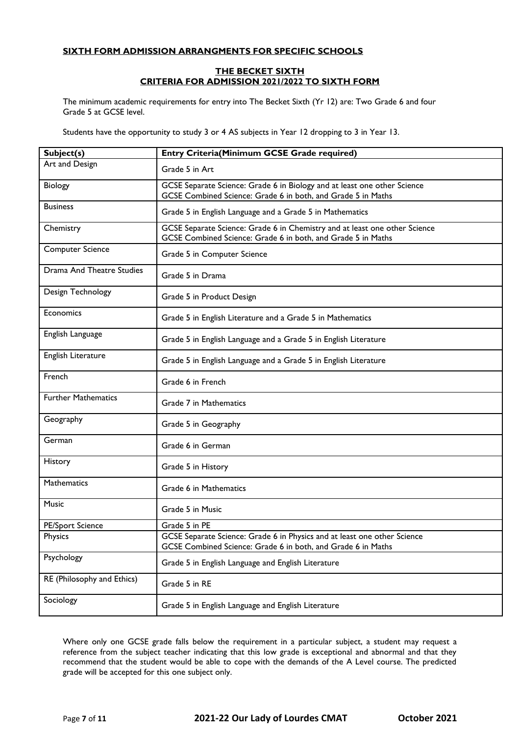# **SIXTH FORM ADMISSION ARRANGMENTS FOR SPECIFIC SCHOOLS**

## **THE BECKET SIXTH CRITERIA FOR ADMISSION 2021/2022 TO SIXTH FORM**

The minimum academic requirements for entry into The Becket Sixth (Yr 12) are: Two Grade 6 and four Grade 5 at GCSE level.

Students have the opportunity to study 3 or 4 AS subjects in Year 12 dropping to 3 in Year 13.

| Subject(s)                 | Entry Criteria(Minimum GCSE Grade required)                                                                                                |  |  |
|----------------------------|--------------------------------------------------------------------------------------------------------------------------------------------|--|--|
| Art and Design             | Grade 5 in Art                                                                                                                             |  |  |
| Biology                    | GCSE Separate Science: Grade 6 in Biology and at least one other Science<br>GCSE Combined Science: Grade 6 in both, and Grade 5 in Maths   |  |  |
| <b>Business</b>            | Grade 5 in English Language and a Grade 5 in Mathematics                                                                                   |  |  |
| Chemistry                  | GCSE Separate Science: Grade 6 in Chemistry and at least one other Science<br>GCSE Combined Science: Grade 6 in both, and Grade 5 in Maths |  |  |
| <b>Computer Science</b>    | Grade 5 in Computer Science                                                                                                                |  |  |
| Drama And Theatre Studies  | Grade 5 in Drama                                                                                                                           |  |  |
| Design Technology          | Grade 5 in Product Design                                                                                                                  |  |  |
| Economics                  | Grade 5 in English Literature and a Grade 5 in Mathematics                                                                                 |  |  |
| English Language           | Grade 5 in English Language and a Grade 5 in English Literature                                                                            |  |  |
| English Literature         | Grade 5 in English Language and a Grade 5 in English Literature                                                                            |  |  |
| French                     | Grade 6 in French                                                                                                                          |  |  |
| <b>Further Mathematics</b> | Grade 7 in Mathematics                                                                                                                     |  |  |
| Geography                  | Grade 5 in Geography                                                                                                                       |  |  |
| German                     | Grade 6 in German                                                                                                                          |  |  |
| History                    | Grade 5 in History                                                                                                                         |  |  |
| Mathematics                | Grade 6 in Mathematics                                                                                                                     |  |  |
| Music                      | Grade 5 in Music                                                                                                                           |  |  |
| <b>PE/Sport Science</b>    | Grade 5 in PE                                                                                                                              |  |  |
| Physics                    | GCSE Separate Science: Grade 6 in Physics and at least one other Science<br>GCSE Combined Science: Grade 6 in both, and Grade 6 in Maths   |  |  |
| Psychology                 | Grade 5 in English Language and English Literature                                                                                         |  |  |
| RE (Philosophy and Ethics) | Grade 5 in RE                                                                                                                              |  |  |
| Sociology                  | Grade 5 in English Language and English Literature                                                                                         |  |  |

Where only one GCSE grade falls below the requirement in a particular subject, a student may request a reference from the subject teacher indicating that this low grade is exceptional and abnormal and that they recommend that the student would be able to cope with the demands of the A Level course. The predicted grade will be accepted for this one subject only.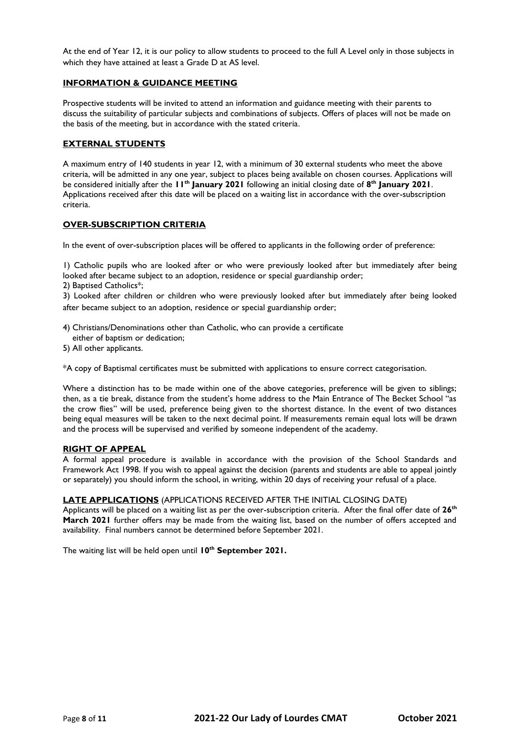At the end of Year 12, it is our policy to allow students to proceed to the full A Level only in those subjects in which they have attained at least a Grade D at AS level.

## **INFORMATION & GUIDANCE MEETING**

Prospective students will be invited to attend an information and guidance meeting with their parents to discuss the suitability of particular subjects and combinations of subjects. Offers of places will not be made on the basis of the meeting, but in accordance with the stated criteria.

## **EXTERNAL STUDENTS**

A maximum entry of 140 students in year 12, with a minimum of 30 external students who meet the above criteria, will be admitted in any one year, subject to places being available on chosen courses. Applications will be considered initially after the **11th January 2021** following an initial closing date of **8 th January 2021**. Applications received after this date will be placed on a waiting list in accordance with the over-subscription criteria.

## **OVER-SUBSCRIPTION CRITERIA**

In the event of over-subscription places will be offered to applicants in the following order of preference:

1) Catholic pupils who are looked after or who were previously looked after but immediately after being looked after became subject to an adoption, residence or special guardianship order;

2) Baptised Catholics\*;

3) Looked after children or children who were previously looked after but immediately after being looked after became subject to an adoption, residence or special guardianship order;

- 4) Christians/Denominations other than Catholic, who can provide a certificate
- either of baptism or dedication;
- 5) All other applicants.

\*A copy of Baptismal certificates must be submitted with applications to ensure correct categorisation.

Where a distinction has to be made within one of the above categories, preference will be given to siblings; then, as a tie break, distance from the student's home address to the Main Entrance of The Becket School "as the crow flies" will be used, preference being given to the shortest distance. In the event of two distances being equal measures will be taken to the next decimal point. If measurements remain equal lots will be drawn and the process will be supervised and verified by someone independent of the academy.

## **RIGHT OF APPEAL**

A formal appeal procedure is available in accordance with the provision of the School Standards and Framework Act 1998. If you wish to appeal against the decision (parents and students are able to appeal jointly or separately) you should inform the school, in writing, within 20 days of receiving your refusal of a place.

## **LATE APPLICATIONS** (APPLICATIONS RECEIVED AFTER THE INITIAL CLOSING DATE)

Applicants will be placed on a waiting list as per the over-subscription criteria. After the final offer date of **26th March 2021** further offers may be made from the waiting list, based on the number of offers accepted and availability. Final numbers cannot be determined before September 2021.

The waiting list will be held open until **10th September 2021.**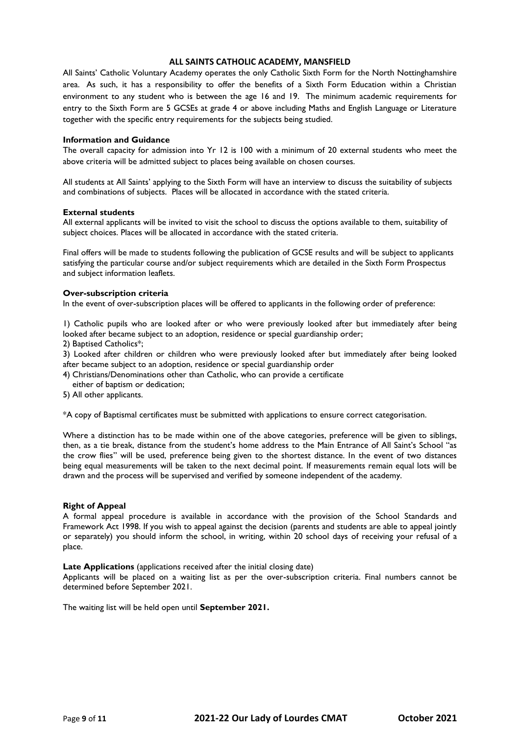# **ALL SAINTS CATHOLIC ACADEMY, MANSFIELD**

All Saints' Catholic Voluntary Academy operates the only Catholic Sixth Form for the North Nottinghamshire area. As such, it has a responsibility to offer the benefits of a Sixth Form Education within a Christian environment to any student who is between the age 16 and 19. The minimum academic requirements for entry to the Sixth Form are 5 GCSEs at grade 4 or above including Maths and English Language or Literature together with the specific entry requirements for the subjects being studied.

#### **Information and Guidance**

The overall capacity for admission into Yr 12 is 100 with a minimum of 20 external students who meet the above criteria will be admitted subject to places being available on chosen courses.

All students at All Saints' applying to the Sixth Form will have an interview to discuss the suitability of subjects and combinations of subjects. Places will be allocated in accordance with the stated criteria.

#### **External students**

All external applicants will be invited to visit the school to discuss the options available to them, suitability of subject choices. Places will be allocated in accordance with the stated criteria.

Final offers will be made to students following the publication of GCSE results and will be subject to applicants satisfying the particular course and/or subject requirements which are detailed in the Sixth Form Prospectus and subject information leaflets.

#### **Over-subscription criteria**

In the event of over-subscription places will be offered to applicants in the following order of preference:

1) Catholic pupils who are looked after or who were previously looked after but immediately after being looked after became subject to an adoption, residence or special guardianship order;

2) Baptised Catholics\*;

3) Looked after children or children who were previously looked after but immediately after being looked after became subject to an adoption, residence or special guardianship order

- 4) Christians/Denominations other than Catholic, who can provide a certificate
- either of baptism or dedication;
- 5) All other applicants.

\*A copy of Baptismal certificates must be submitted with applications to ensure correct categorisation.

Where a distinction has to be made within one of the above categories, preference will be given to siblings, then, as a tie break, distance from the student's home address to the Main Entrance of All Saint's School "as the crow flies" will be used, preference being given to the shortest distance. In the event of two distances being equal measurements will be taken to the next decimal point. If measurements remain equal lots will be drawn and the process will be supervised and verified by someone independent of the academy.

## **Right of Appeal**

A formal appeal procedure is available in accordance with the provision of the School Standards and Framework Act 1998. If you wish to appeal against the decision (parents and students are able to appeal jointly or separately) you should inform the school, in writing, within 20 school days of receiving your refusal of a place.

#### **Late Applications** (applications received after the initial closing date)

Applicants will be placed on a waiting list as per the over-subscription criteria. Final numbers cannot be determined before September 2021.

The waiting list will be held open until **September 2021.**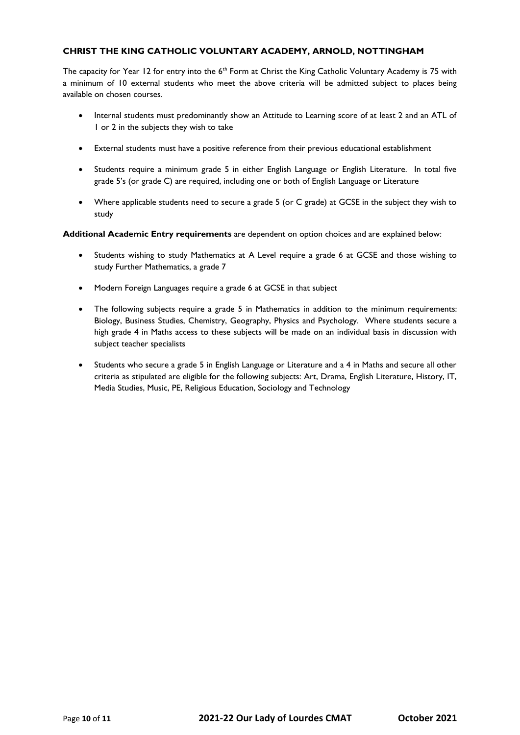# **CHRIST THE KING CATHOLIC VOLUNTARY ACADEMY, ARNOLD, NOTTINGHAM**

The capacity for Year 12 for entry into the 6<sup>th</sup> Form at Christ the King Catholic Voluntary Academy is 75 with a minimum of 10 external students who meet the above criteria will be admitted subject to places being available on chosen courses.

- Internal students must predominantly show an Attitude to Learning score of at least 2 and an ATL of 1 or 2 in the subjects they wish to take
- External students must have a positive reference from their previous educational establishment
- Students require a minimum grade 5 in either English Language or English Literature. In total five grade 5's (or grade C) are required, including one or both of English Language or Literature
- Where applicable students need to secure a grade 5 (or C grade) at GCSE in the subject they wish to study

**Additional Academic Entry requirements** are dependent on option choices and are explained below:

- Students wishing to study Mathematics at A Level require a grade 6 at GCSE and those wishing to study Further Mathematics, a grade 7
- Modern Foreign Languages require a grade 6 at GCSE in that subject
- The following subjects require a grade 5 in Mathematics in addition to the minimum requirements: Biology, Business Studies, Chemistry, Geography, Physics and Psychology. Where students secure a high grade 4 in Maths access to these subjects will be made on an individual basis in discussion with subject teacher specialists
- Students who secure a grade 5 in English Language or Literature and a 4 in Maths and secure all other criteria as stipulated are eligible for the following subjects: Art, Drama, English Literature, History, IT, Media Studies, Music, PE, Religious Education, Sociology and Technology